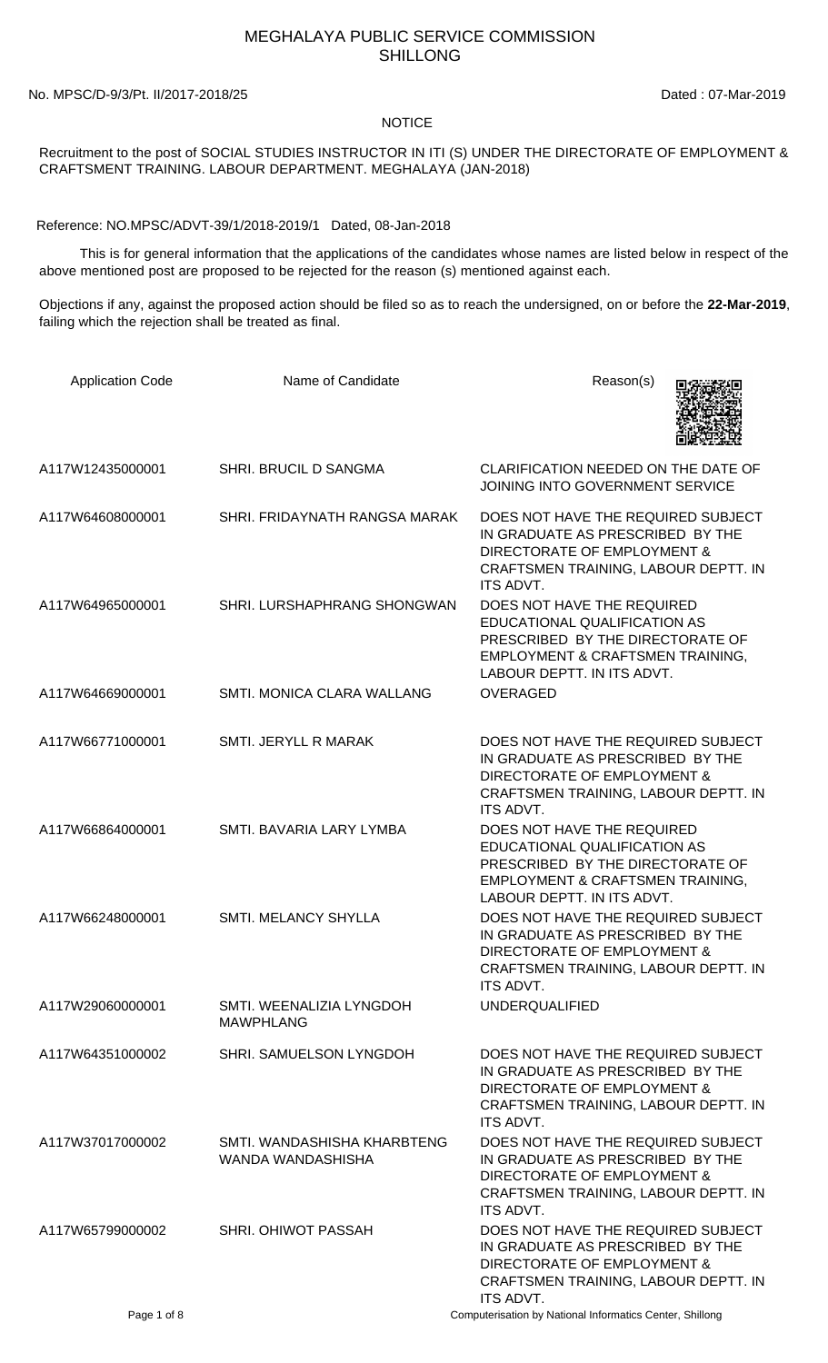## MEGHALAYA PUBLIC SERVICE COMMISSION SHILLONG

No. MPSC/D-9/3/Pt. II/2017-2018/25 Dated : 07-Mar-2019

## **NOTICE**

Recruitment to the post of SOCIAL STUDIES INSTRUCTOR IN ITI (S) UNDER THE DIRECTORATE OF EMPLOYMENT & CRAFTSMENT TRAINING. LABOUR DEPARTMENT. MEGHALAYA (JAN-2018)

Reference: NO.MPSC/ADVT-39/1/2018-2019/1 Dated, 08-Jan-2018

 This is for general information that the applications of the candidates whose names are listed below in respect of the above mentioned post are proposed to be rejected for the reason (s) mentioned against each.

Objections if any, against the proposed action should be filed so as to reach the undersigned, on or before the **22-Mar-2019**, failing which the rejection shall be treated as final.

| <b>Application Code</b> | Name of Candidate                                | Reason(s)                                                                                                                                                                   |
|-------------------------|--------------------------------------------------|-----------------------------------------------------------------------------------------------------------------------------------------------------------------------------|
| A117W12435000001        | SHRI. BRUCIL D SANGMA                            | CLARIFICATION NEEDED ON THE DATE OF<br>JOINING INTO GOVERNMENT SERVICE                                                                                                      |
| A117W64608000001        | SHRI. FRIDAYNATH RANGSA MARAK                    | DOES NOT HAVE THE REQUIRED SUBJECT<br>IN GRADUATE AS PRESCRIBED BY THE<br>DIRECTORATE OF EMPLOYMENT &<br>CRAFTSMEN TRAINING, LABOUR DEPTT. IN<br><b>ITS ADVT.</b>           |
| A117W64965000001        | SHRI. LURSHAPHRANG SHONGWAN                      | DOES NOT HAVE THE REQUIRED<br>EDUCATIONAL QUALIFICATION AS<br>PRESCRIBED BY THE DIRECTORATE OF<br><b>EMPLOYMENT &amp; CRAFTSMEN TRAINING,</b><br>LABOUR DEPTT. IN ITS ADVT. |
| A117W64669000001        | SMTI. MONICA CLARA WALLANG                       | <b>OVERAGED</b>                                                                                                                                                             |
| A117W66771000001        | SMTI. JERYLL R MARAK                             | DOES NOT HAVE THE REQUIRED SUBJECT<br>IN GRADUATE AS PRESCRIBED BY THE<br>DIRECTORATE OF EMPLOYMENT &<br>CRAFTSMEN TRAINING, LABOUR DEPTT. IN<br>ITS ADVT.                  |
| A117W66864000001        | SMTI. BAVARIA LARY LYMBA                         | DOES NOT HAVE THE REQUIRED<br>EDUCATIONAL QUALIFICATION AS<br>PRESCRIBED BY THE DIRECTORATE OF<br>EMPLOYMENT & CRAFTSMEN TRAINING,<br>LABOUR DEPTT. IN ITS ADVT.            |
| A117W66248000001        | SMTI. MELANCY SHYLLA                             | DOES NOT HAVE THE REQUIRED SUBJECT<br>IN GRADUATE AS PRESCRIBED BY THE<br>DIRECTORATE OF EMPLOYMENT &<br>CRAFTSMEN TRAINING, LABOUR DEPTT. IN<br>ITS ADVT.                  |
| A117W29060000001        | SMTI. WEENALIZIA LYNGDOH<br><b>MAWPHLANG</b>     | <b>UNDERQUALIFIED</b>                                                                                                                                                       |
| A117W64351000002        | SHRI. SAMUELSON LYNGDOH                          | DOES NOT HAVE THE REQUIRED SUBJECT<br>IN GRADUATE AS PRESCRIBED BY THE<br>DIRECTORATE OF EMPLOYMENT &<br>CRAFTSMEN TRAINING, LABOUR DEPTT. IN<br><b>ITS ADVT.</b>           |
| A117W37017000002        | SMTI, WANDASHISHA KHARBTENG<br>WANDA WANDASHISHA | DOES NOT HAVE THE REQUIRED SUBJECT<br>IN GRADUATE AS PRESCRIBED BY THE<br>DIRECTORATE OF EMPLOYMENT &<br>CRAFTSMEN TRAINING, LABOUR DEPTT. IN<br><b>ITS ADVT.</b>           |
| A117W65799000002        | SHRI. OHIWOT PASSAH                              | DOES NOT HAVE THE REQUIRED SUBJECT<br>IN GRADUATE AS PRESCRIBED BY THE<br>DIRECTORATE OF EMPLOYMENT &<br>CRAFTSMEN TRAINING, LABOUR DEPTT. IN<br>ITS ADVT.                  |
| Page 1 of 8             |                                                  | Computerisation by National Informatics Center, Shillong                                                                                                                    |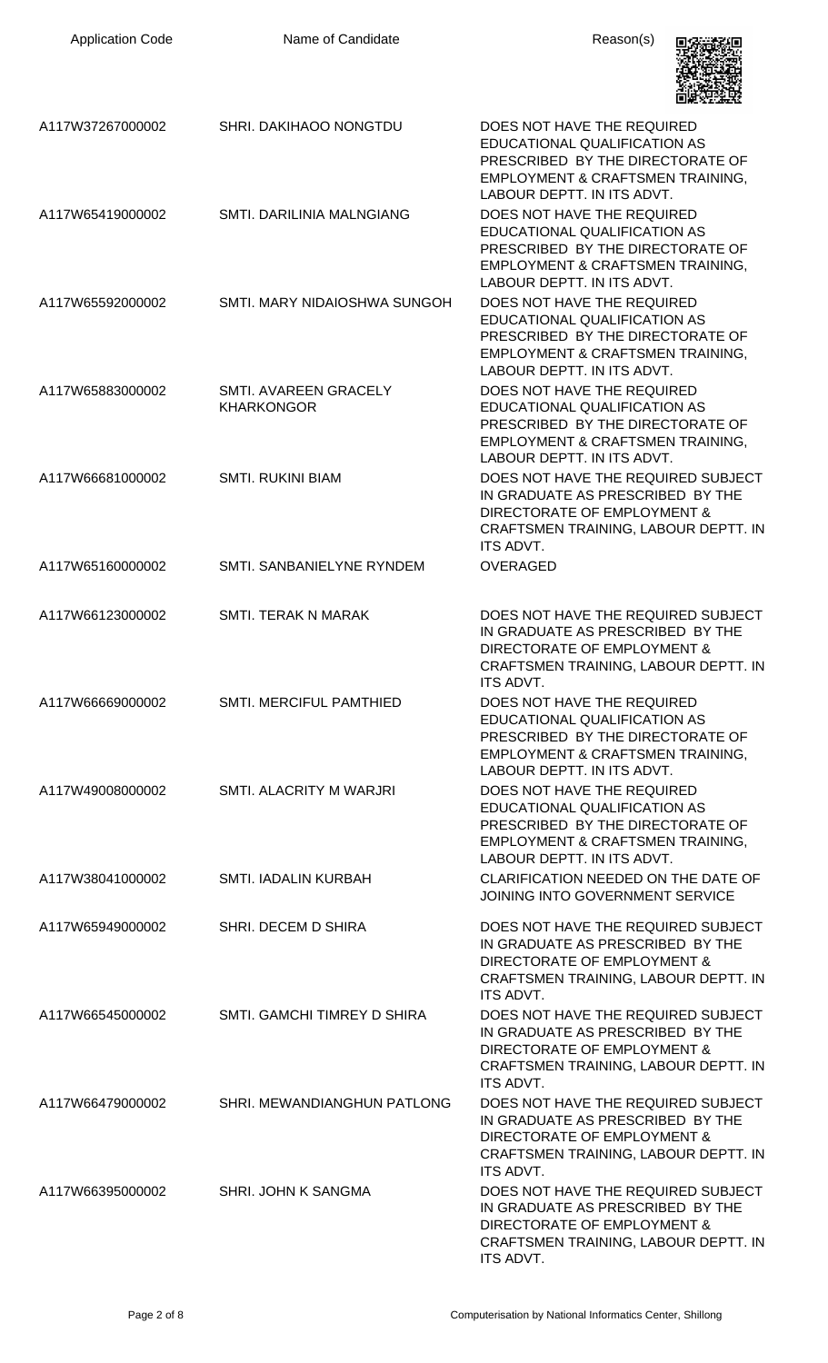| <b>Application Code</b> | Name of Candidate                          | Reason(s)                                                                                                                                                         |
|-------------------------|--------------------------------------------|-------------------------------------------------------------------------------------------------------------------------------------------------------------------|
| A117W37267000002        | SHRI. DAKIHAOO NONGTDU                     | DOES NOT HAVE THE REQUIRED<br>EDUCATIONAL QUALIFICATION AS<br>PRESCRIBED BY THE DIRECTORATE OF<br>EMPLOYMENT & CRAFTSMEN TRAINING,<br>LABOUR DEPTT. IN ITS ADVT.  |
| A117W65419000002        | <b>SMTI. DARILINIA MALNGIANG</b>           | DOES NOT HAVE THE REQUIRED<br>EDUCATIONAL QUALIFICATION AS<br>PRESCRIBED BY THE DIRECTORATE OF<br>EMPLOYMENT & CRAFTSMEN TRAINING,<br>LABOUR DEPTT. IN ITS ADVT.  |
| A117W65592000002        | SMTI. MARY NIDAIOSHWA SUNGOH               | DOES NOT HAVE THE REQUIRED<br>EDUCATIONAL QUALIFICATION AS<br>PRESCRIBED BY THE DIRECTORATE OF<br>EMPLOYMENT & CRAFTSMEN TRAINING,<br>LABOUR DEPTT. IN ITS ADVT.  |
| A117W65883000002        | SMTI. AVAREEN GRACELY<br><b>KHARKONGOR</b> | DOES NOT HAVE THE REQUIRED<br>EDUCATIONAL QUALIFICATION AS<br>PRESCRIBED BY THE DIRECTORATE OF<br>EMPLOYMENT & CRAFTSMEN TRAINING,<br>LABOUR DEPTT. IN ITS ADVT.  |
| A117W66681000002        | <b>SMTI. RUKINI BIAM</b>                   | DOES NOT HAVE THE REQUIRED SUBJECT<br>IN GRADUATE AS PRESCRIBED BY THE<br>DIRECTORATE OF EMPLOYMENT &<br>CRAFTSMEN TRAINING, LABOUR DEPTT. IN<br>ITS ADVT.        |
| A117W65160000002        | SMTI, SANBANIELYNE RYNDEM                  | <b>OVERAGED</b>                                                                                                                                                   |
| A117W66123000002        | <b>SMTI. TERAK N MARAK</b>                 | DOES NOT HAVE THE REQUIRED SUBJECT<br>IN GRADUATE AS PRESCRIBED BY THE<br>DIRECTORATE OF EMPLOYMENT &<br>CRAFTSMEN TRAINING, LABOUR DEPTT. IN<br><b>ITS ADVT.</b> |
| A117W66669000002        | <b>SMTI. MERCIFUL PAMTHIED</b>             | DOES NOT HAVE THE REQUIRED<br>EDUCATIONAL QUALIFICATION AS<br>PRESCRIBED BY THE DIRECTORATE OF<br>EMPLOYMENT & CRAFTSMEN TRAINING,<br>LABOUR DEPTT. IN ITS ADVT.  |
| A117W49008000002        | SMTI. ALACRITY M WARJRI                    | DOES NOT HAVE THE REQUIRED<br>EDUCATIONAL QUALIFICATION AS<br>PRESCRIBED BY THE DIRECTORATE OF<br>EMPLOYMENT & CRAFTSMEN TRAINING,<br>LABOUR DEPTT. IN ITS ADVT.  |
| A117W38041000002        | SMTI. IADALIN KURBAH                       | CLARIFICATION NEEDED ON THE DATE OF<br>JOINING INTO GOVERNMENT SERVICE                                                                                            |
| A117W65949000002        | SHRI. DECEM D SHIRA                        | DOES NOT HAVE THE REQUIRED SUBJECT<br>IN GRADUATE AS PRESCRIBED BY THE<br>DIRECTORATE OF EMPLOYMENT &<br>CRAFTSMEN TRAINING, LABOUR DEPTT. IN<br><b>ITS ADVT.</b> |
| A117W66545000002        | SMTI. GAMCHI TIMREY D SHIRA                | DOES NOT HAVE THE REQUIRED SUBJECT<br>IN GRADUATE AS PRESCRIBED BY THE<br>DIRECTORATE OF EMPLOYMENT &<br>CRAFTSMEN TRAINING, LABOUR DEPTT. IN<br><b>ITS ADVT.</b> |
| A117W66479000002        | SHRI. MEWANDIANGHUN PATLONG                | DOES NOT HAVE THE REQUIRED SUBJECT<br>IN GRADUATE AS PRESCRIBED BY THE<br>DIRECTORATE OF EMPLOYMENT &<br>CRAFTSMEN TRAINING, LABOUR DEPTT. IN<br>ITS ADVT.        |
| A117W66395000002        | SHRI. JOHN K SANGMA                        | DOES NOT HAVE THE REQUIRED SUBJECT<br>IN GRADUATE AS PRESCRIBED BY THE<br>DIRECTORATE OF EMPLOYMENT &<br>CRAFTSMEN TRAINING, LABOUR DEPTT. IN<br>ITS ADVT.        |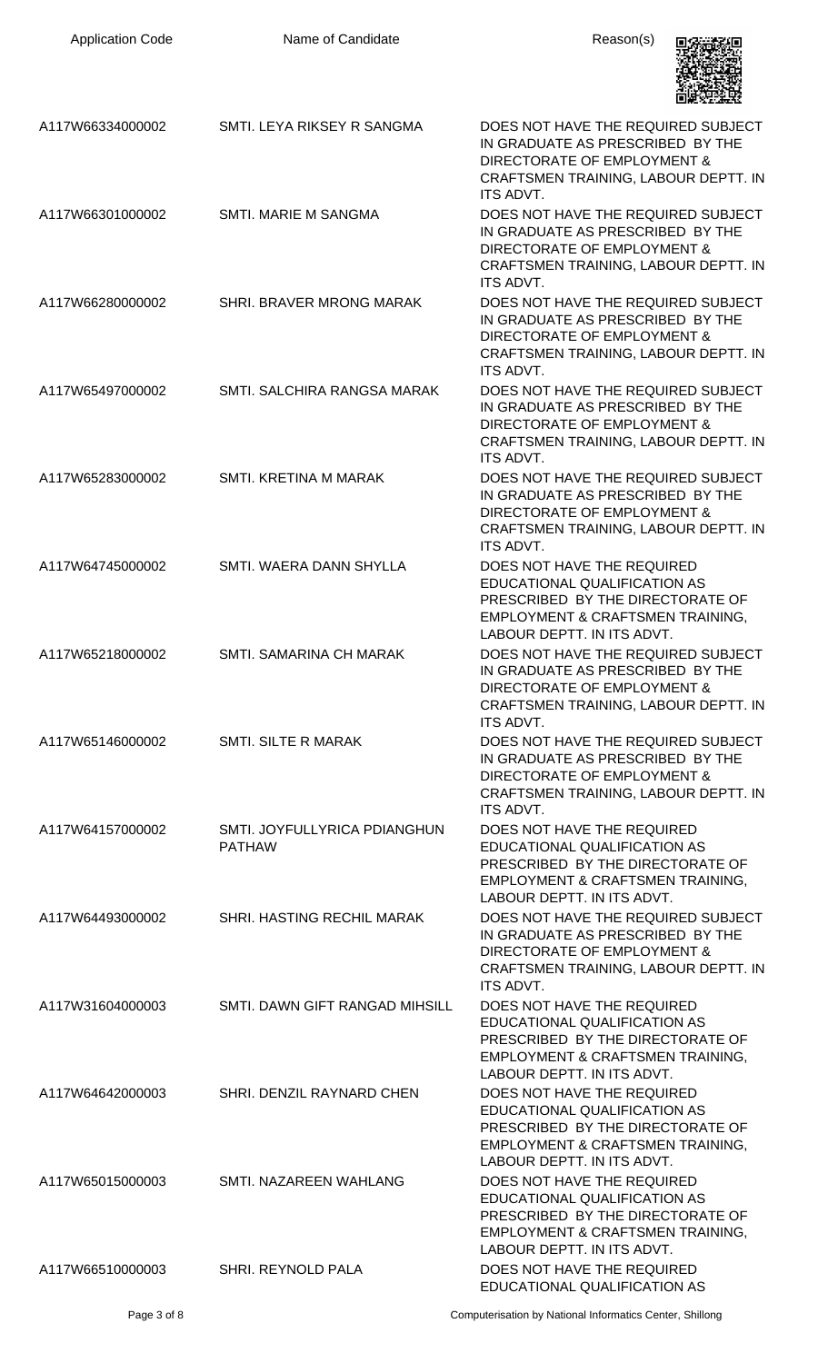| <b>Application Code</b> | Name of Candidate                             | Reason(s)                                                                                                                                                         |
|-------------------------|-----------------------------------------------|-------------------------------------------------------------------------------------------------------------------------------------------------------------------|
| A117W66334000002        | SMTI. LEYA RIKSEY R SANGMA                    | DOES NOT HAVE THE REQUIRED SUBJECT<br>IN GRADUATE AS PRESCRIBED BY THE<br>DIRECTORATE OF EMPLOYMENT &<br>CRAFTSMEN TRAINING, LABOUR DEPTT. IN<br>ITS ADVT.        |
| A117W66301000002        | <b>SMTI. MARIE M SANGMA</b>                   | DOES NOT HAVE THE REQUIRED SUBJECT<br>IN GRADUATE AS PRESCRIBED BY THE<br>DIRECTORATE OF EMPLOYMENT &<br>CRAFTSMEN TRAINING, LABOUR DEPTT. IN<br><b>ITS ADVT.</b> |
| A117W66280000002        | SHRI. BRAVER MRONG MARAK                      | DOES NOT HAVE THE REQUIRED SUBJECT<br>IN GRADUATE AS PRESCRIBED BY THE<br>DIRECTORATE OF EMPLOYMENT &<br>CRAFTSMEN TRAINING, LABOUR DEPTT. IN<br>ITS ADVT.        |
| A117W65497000002        | SMTI, SALCHIRA RANGSA MARAK                   | DOES NOT HAVE THE REQUIRED SUBJECT<br>IN GRADUATE AS PRESCRIBED BY THE<br>DIRECTORATE OF EMPLOYMENT &<br>CRAFTSMEN TRAINING, LABOUR DEPTT. IN<br><b>ITS ADVT.</b> |
| A117W65283000002        | SMTI. KRETINA M MARAK                         | DOES NOT HAVE THE REQUIRED SUBJECT<br>IN GRADUATE AS PRESCRIBED BY THE<br>DIRECTORATE OF EMPLOYMENT &<br>CRAFTSMEN TRAINING, LABOUR DEPTT. IN<br>ITS ADVT.        |
| A117W64745000002        | SMTI. WAERA DANN SHYLLA                       | DOES NOT HAVE THE REQUIRED<br>EDUCATIONAL QUALIFICATION AS<br>PRESCRIBED BY THE DIRECTORATE OF<br>EMPLOYMENT & CRAFTSMEN TRAINING,<br>LABOUR DEPTT. IN ITS ADVT.  |
| A117W65218000002        | SMTI, SAMARINA CH MARAK                       | DOES NOT HAVE THE REQUIRED SUBJECT<br>IN GRADUATE AS PRESCRIBED BY THE<br>DIRECTORATE OF EMPLOYMENT &<br>CRAFTSMEN TRAINING, LABOUR DEPTT. IN<br>ITS ADVT.        |
| A117W65146000002        | <b>SMTI. SILTE R MARAK</b>                    | DOES NOT HAVE THE REQUIRED SUBJECT<br>IN GRADUATE AS PRESCRIBED BY THE<br>DIRECTORATE OF EMPLOYMENT &<br>CRAFTSMEN TRAINING, LABOUR DEPTT. IN<br><b>ITS ADVT.</b> |
| A117W64157000002        | SMTI. JOYFULLYRICA PDIANGHUN<br><b>PATHAW</b> | DOES NOT HAVE THE REQUIRED<br>EDUCATIONAL QUALIFICATION AS<br>PRESCRIBED BY THE DIRECTORATE OF<br>EMPLOYMENT & CRAFTSMEN TRAINING,<br>LABOUR DEPTT. IN ITS ADVT.  |
| A117W64493000002        | SHRI. HASTING RECHIL MARAK                    | DOES NOT HAVE THE REQUIRED SUBJECT<br>IN GRADUATE AS PRESCRIBED BY THE<br>DIRECTORATE OF EMPLOYMENT &<br>CRAFTSMEN TRAINING, LABOUR DEPTT. IN<br><b>ITS ADVT.</b> |
| A117W31604000003        | SMTI. DAWN GIFT RANGAD MIHSILL                | DOES NOT HAVE THE REQUIRED<br>EDUCATIONAL QUALIFICATION AS<br>PRESCRIBED BY THE DIRECTORATE OF<br>EMPLOYMENT & CRAFTSMEN TRAINING,<br>LABOUR DEPTT. IN ITS ADVT.  |
| A117W64642000003        | SHRI. DENZIL RAYNARD CHEN                     | DOES NOT HAVE THE REQUIRED<br>EDUCATIONAL QUALIFICATION AS<br>PRESCRIBED BY THE DIRECTORATE OF<br>EMPLOYMENT & CRAFTSMEN TRAINING,<br>LABOUR DEPTT. IN ITS ADVT.  |
| A117W65015000003        | SMTI. NAZAREEN WAHLANG                        | DOES NOT HAVE THE REQUIRED<br>EDUCATIONAL QUALIFICATION AS<br>PRESCRIBED BY THE DIRECTORATE OF<br>EMPLOYMENT & CRAFTSMEN TRAINING,<br>LABOUR DEPTT. IN ITS ADVT.  |
| A117W66510000003        | SHRI. REYNOLD PALA                            | DOES NOT HAVE THE REQUIRED<br>EDUCATIONAL QUALIFICATION AS                                                                                                        |
|                         |                                               |                                                                                                                                                                   |

Page 3 of 8 Computerisation by National Informatics Center, Shillong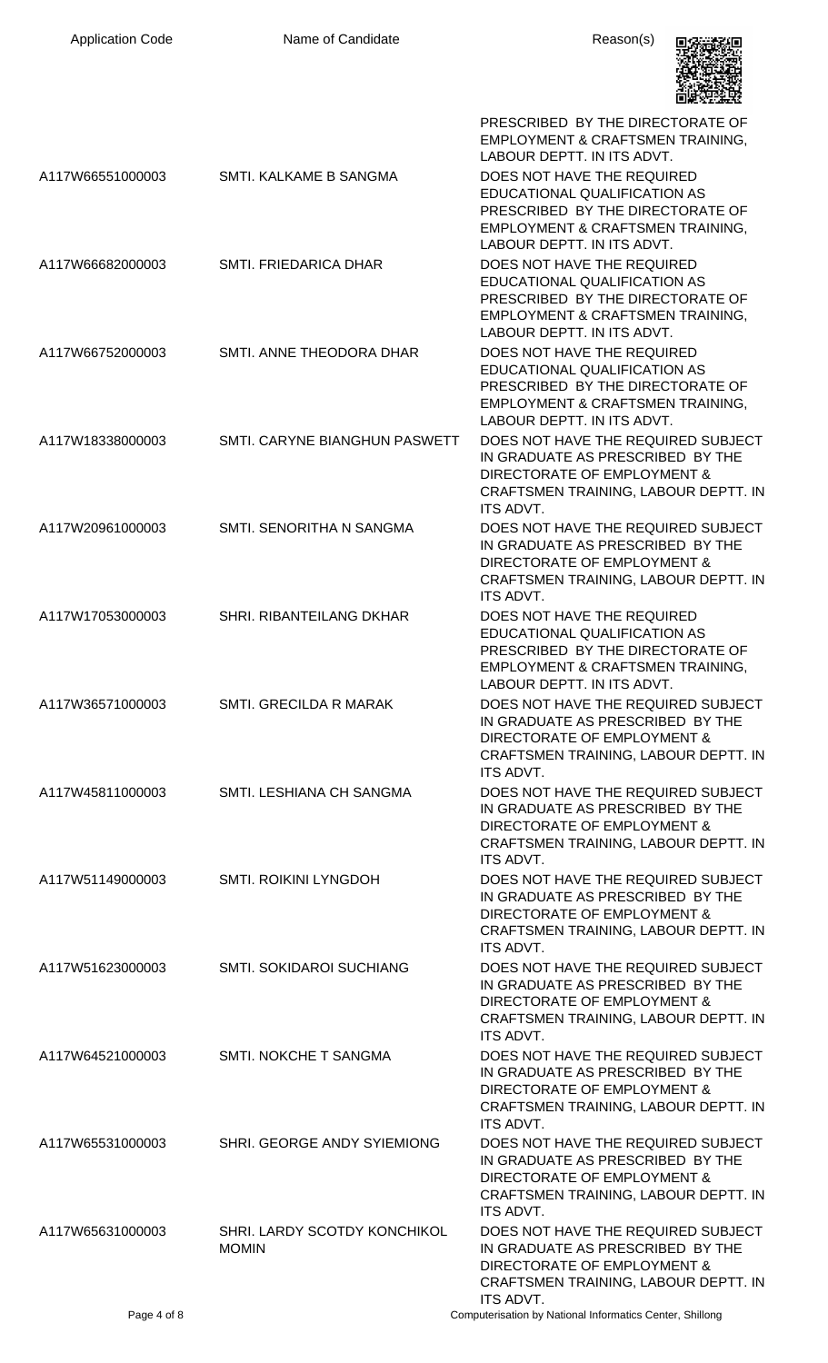| <b>Application Code</b> | Name of Candidate                            | Reason(s)                                                                                                                                                                   |
|-------------------------|----------------------------------------------|-----------------------------------------------------------------------------------------------------------------------------------------------------------------------------|
|                         |                                              | PRESCRIBED BY THE DIRECTORATE OF<br>EMPLOYMENT & CRAFTSMEN TRAINING,<br>LABOUR DEPTT. IN ITS ADVT.                                                                          |
| A117W66551000003        | SMTI. KALKAME B SANGMA                       | DOES NOT HAVE THE REQUIRED<br>EDUCATIONAL QUALIFICATION AS<br>PRESCRIBED BY THE DIRECTORATE OF<br>EMPLOYMENT & CRAFTSMEN TRAINING,<br>LABOUR DEPTT. IN ITS ADVT.            |
| A117W66682000003        | SMTI. FRIEDARICA DHAR                        | DOES NOT HAVE THE REQUIRED<br>EDUCATIONAL QUALIFICATION AS<br>PRESCRIBED BY THE DIRECTORATE OF<br>EMPLOYMENT & CRAFTSMEN TRAINING,<br>LABOUR DEPTT. IN ITS ADVT.            |
| A117W66752000003        | SMTI. ANNE THEODORA DHAR                     | DOES NOT HAVE THE REQUIRED<br>EDUCATIONAL QUALIFICATION AS<br>PRESCRIBED BY THE DIRECTORATE OF<br>EMPLOYMENT & CRAFTSMEN TRAINING,<br>LABOUR DEPTT. IN ITS ADVT.            |
| A117W18338000003        | SMTI. CARYNE BIANGHUN PASWETT                | DOES NOT HAVE THE REQUIRED SUBJECT<br>IN GRADUATE AS PRESCRIBED BY THE<br>DIRECTORATE OF EMPLOYMENT &<br>CRAFTSMEN TRAINING, LABOUR DEPTT. IN<br>ITS ADVT.                  |
| A117W20961000003        | SMTI. SENORITHA N SANGMA                     | DOES NOT HAVE THE REQUIRED SUBJECT<br>IN GRADUATE AS PRESCRIBED BY THE<br>DIRECTORATE OF EMPLOYMENT &<br>CRAFTSMEN TRAINING, LABOUR DEPTT. IN<br>ITS ADVT.                  |
| A117W17053000003        | SHRI. RIBANTEILANG DKHAR                     | DOES NOT HAVE THE REQUIRED<br>EDUCATIONAL QUALIFICATION AS<br>PRESCRIBED BY THE DIRECTORATE OF<br><b>EMPLOYMENT &amp; CRAFTSMEN TRAINING.</b><br>LABOUR DEPTT. IN ITS ADVT. |
| A117W36571000003        | SMTI. GRECILDA R MARAK                       | DOES NOT HAVE THE REQUIRED SUBJECT<br>IN GRADUATE AS PRESCRIBED BY THE<br>DIRECTORATE OF EMPLOYMENT &<br>CRAFTSMEN TRAINING, LABOUR DEPTT. IN<br>ITS ADVT.                  |
| A117W45811000003        | SMTI. LESHIANA CH SANGMA                     | DOES NOT HAVE THE REQUIRED SUBJECT<br>IN GRADUATE AS PRESCRIBED BY THE<br>DIRECTORATE OF EMPLOYMENT &<br>CRAFTSMEN TRAINING, LABOUR DEPTT. IN<br>ITS ADVT.                  |
| A117W51149000003        | <b>SMTI. ROIKINI LYNGDOH</b>                 | DOES NOT HAVE THE REQUIRED SUBJECT<br>IN GRADUATE AS PRESCRIBED BY THE<br>DIRECTORATE OF EMPLOYMENT &<br>CRAFTSMEN TRAINING, LABOUR DEPTT. IN<br><b>ITS ADVT.</b>           |
| A117W51623000003        | SMTI. SOKIDAROI SUCHIANG                     | DOES NOT HAVE THE REQUIRED SUBJECT<br>IN GRADUATE AS PRESCRIBED BY THE<br>DIRECTORATE OF EMPLOYMENT &<br>CRAFTSMEN TRAINING, LABOUR DEPTT. IN<br>ITS ADVT.                  |
| A117W64521000003        | SMTI. NOKCHE T SANGMA                        | DOES NOT HAVE THE REQUIRED SUBJECT<br>IN GRADUATE AS PRESCRIBED BY THE<br>DIRECTORATE OF EMPLOYMENT &<br>CRAFTSMEN TRAINING, LABOUR DEPTT. IN<br>ITS ADVT.                  |
| A117W65531000003        | SHRI. GEORGE ANDY SYIEMIONG                  | DOES NOT HAVE THE REQUIRED SUBJECT<br>IN GRADUATE AS PRESCRIBED BY THE<br>DIRECTORATE OF EMPLOYMENT &<br>CRAFTSMEN TRAINING, LABOUR DEPTT. IN<br><b>ITS ADVT.</b>           |
| A117W65631000003        | SHRI. LARDY SCOTDY KONCHIKOL<br><b>MOMIN</b> | DOES NOT HAVE THE REQUIRED SUBJECT<br>IN GRADUATE AS PRESCRIBED BY THE<br>DIRECTORATE OF EMPLOYMENT &<br>CRAFTSMEN TRAINING, LABOUR DEPTT. IN<br>ITS ADVT.                  |
| Page 4 of 8             |                                              | Computerisation by National Informatics Center, Shillong                                                                                                                    |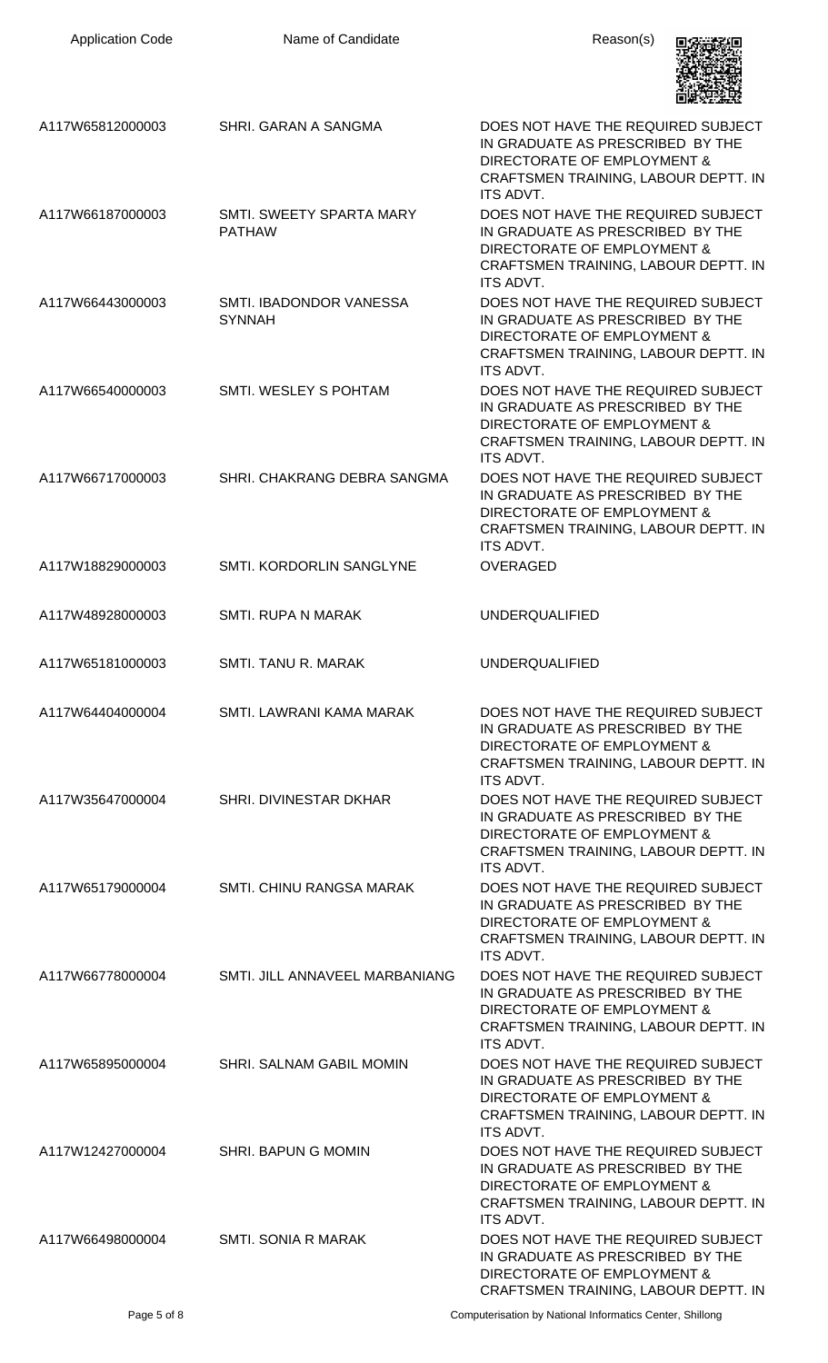| <b>Application Code</b> | Name of Candidate                         | Reason(s)                                                                                                                                                         |
|-------------------------|-------------------------------------------|-------------------------------------------------------------------------------------------------------------------------------------------------------------------|
| A117W65812000003        | SHRI. GARAN A SANGMA                      | DOES NOT HAVE THE REQUIRED SUBJECT<br>IN GRADUATE AS PRESCRIBED BY THE<br>DIRECTORATE OF EMPLOYMENT &<br>CRAFTSMEN TRAINING, LABOUR DEPTT. IN<br><b>ITS ADVT.</b> |
| A117W66187000003        | SMTI. SWEETY SPARTA MARY<br><b>PATHAW</b> | DOES NOT HAVE THE REQUIRED SUBJECT<br>IN GRADUATE AS PRESCRIBED BY THE<br>DIRECTORATE OF EMPLOYMENT &<br>CRAFTSMEN TRAINING, LABOUR DEPTT. IN<br><b>ITS ADVT.</b> |
| A117W66443000003        | SMTI. IBADONDOR VANESSA<br><b>SYNNAH</b>  | DOES NOT HAVE THE REQUIRED SUBJECT<br>IN GRADUATE AS PRESCRIBED BY THE<br>DIRECTORATE OF EMPLOYMENT &<br>CRAFTSMEN TRAINING, LABOUR DEPTT. IN<br><b>ITS ADVT.</b> |
| A117W66540000003        | SMTI. WESLEY S POHTAM                     | DOES NOT HAVE THE REQUIRED SUBJECT<br>IN GRADUATE AS PRESCRIBED BY THE<br>DIRECTORATE OF EMPLOYMENT &<br>CRAFTSMEN TRAINING, LABOUR DEPTT. IN<br><b>ITS ADVT.</b> |
| A117W66717000003        | SHRI. CHAKRANG DEBRA SANGMA               | DOES NOT HAVE THE REQUIRED SUBJECT<br>IN GRADUATE AS PRESCRIBED BY THE<br>DIRECTORATE OF EMPLOYMENT &<br>CRAFTSMEN TRAINING, LABOUR DEPTT. IN<br>ITS ADVT.        |
| A117W18829000003        | SMTI. KORDORLIN SANGLYNE                  | <b>OVERAGED</b>                                                                                                                                                   |
| A117W48928000003        | <b>SMTI. RUPA N MARAK</b>                 | <b>UNDERQUALIFIED</b>                                                                                                                                             |
| A117W65181000003        | SMTI. TANU R. MARAK                       | <b>UNDERQUALIFIED</b>                                                                                                                                             |
| A117W64404000004        | SMTI. LAWRANI KAMA MARAK                  | DOES NOT HAVE THE REQUIRED SUBJECT<br>IN GRADUATE AS PRESCRIBED BY THE<br>DIRECTORATE OF EMPLOYMENT &<br>CRAFTSMEN TRAINING, LABOUR DEPTT. IN<br>ITS ADVT.        |
| A117W35647000004        | SHRI. DIVINESTAR DKHAR                    | DOES NOT HAVE THE REQUIRED SUBJECT<br>IN GRADUATE AS PRESCRIBED BY THE<br>DIRECTORATE OF EMPLOYMENT &<br>CRAFTSMEN TRAINING, LABOUR DEPTT. IN<br><b>ITS ADVT.</b> |
| A117W65179000004        | SMTI. CHINU RANGSA MARAK                  | DOES NOT HAVE THE REQUIRED SUBJECT<br>IN GRADUATE AS PRESCRIBED BY THE<br>DIRECTORATE OF EMPLOYMENT &<br>CRAFTSMEN TRAINING, LABOUR DEPTT. IN<br><b>ITS ADVT.</b> |
| A117W66778000004        | SMTI. JILL ANNAVEEL MARBANIANG            | DOES NOT HAVE THE REQUIRED SUBJECT<br>IN GRADUATE AS PRESCRIBED BY THE<br>DIRECTORATE OF EMPLOYMENT &<br>CRAFTSMEN TRAINING, LABOUR DEPTT. IN<br><b>ITS ADVT.</b> |
| A117W65895000004        | SHRI. SALNAM GABIL MOMIN                  | DOES NOT HAVE THE REQUIRED SUBJECT<br>IN GRADUATE AS PRESCRIBED BY THE<br>DIRECTORATE OF EMPLOYMENT &<br>CRAFTSMEN TRAINING, LABOUR DEPTT. IN<br><b>ITS ADVT.</b> |
| A117W12427000004        | SHRI. BAPUN G MOMIN                       | DOES NOT HAVE THE REQUIRED SUBJECT<br>IN GRADUATE AS PRESCRIBED BY THE<br>DIRECTORATE OF EMPLOYMENT &<br>CRAFTSMEN TRAINING, LABOUR DEPTT. IN<br>ITS ADVT.        |
| A117W66498000004        | SMTI. SONIA R MARAK                       | DOES NOT HAVE THE REQUIRED SUBJECT<br>IN GRADUATE AS PRESCRIBED BY THE<br>DIRECTORATE OF EMPLOYMENT &<br>CRAFTSMEN TRAINING, LABOUR DEPTT. IN                     |

Page 5 of 8 Computerisation by National Informatics Center, Shillong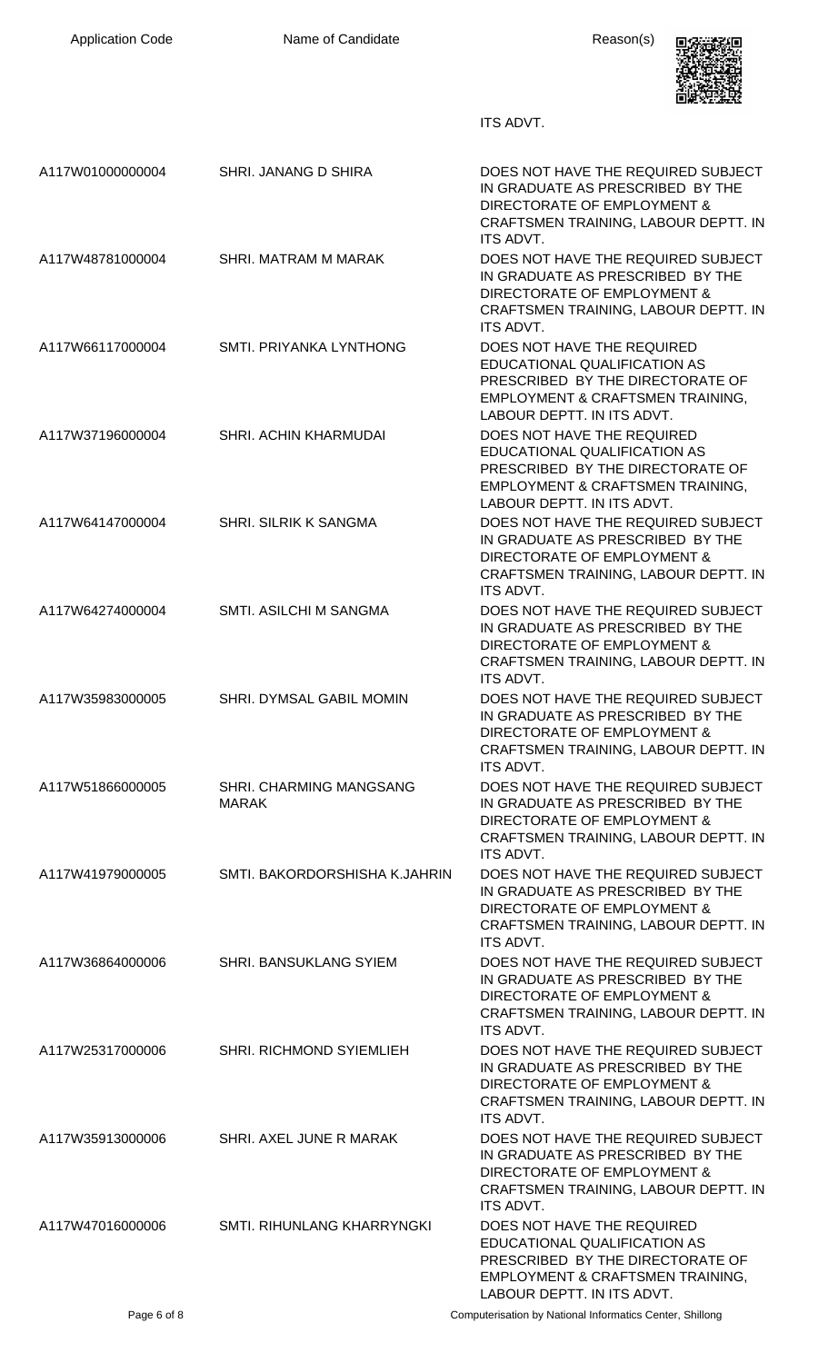| <b>Application Code</b> | Name of Candidate                              | Reason(s)                                                                                                                                                                   |
|-------------------------|------------------------------------------------|-----------------------------------------------------------------------------------------------------------------------------------------------------------------------------|
|                         |                                                | ITS ADVT.                                                                                                                                                                   |
| A117W01000000004        | SHRI. JANANG D SHIRA                           | DOES NOT HAVE THE REQUIRED SUBJECT<br>IN GRADUATE AS PRESCRIBED BY THE<br>DIRECTORATE OF EMPLOYMENT &<br>CRAFTSMEN TRAINING, LABOUR DEPTT. IN<br>ITS ADVT.                  |
| A117W48781000004        | SHRI. MATRAM M MARAK                           | DOES NOT HAVE THE REQUIRED SUBJECT<br>IN GRADUATE AS PRESCRIBED BY THE<br>DIRECTORATE OF EMPLOYMENT &<br>CRAFTSMEN TRAINING, LABOUR DEPTT. IN<br><b>ITS ADVT.</b>           |
| A117W66117000004        | SMTI. PRIYANKA LYNTHONG                        | DOES NOT HAVE THE REQUIRED<br>EDUCATIONAL QUALIFICATION AS<br>PRESCRIBED BY THE DIRECTORATE OF<br><b>EMPLOYMENT &amp; CRAFTSMEN TRAINING,</b><br>LABOUR DEPTT. IN ITS ADVT. |
| A117W37196000004        | SHRI. ACHIN KHARMUDAI                          | DOES NOT HAVE THE REQUIRED<br>EDUCATIONAL QUALIFICATION AS<br>PRESCRIBED BY THE DIRECTORATE OF<br>EMPLOYMENT & CRAFTSMEN TRAINING,<br>LABOUR DEPTT. IN ITS ADVT.            |
| A117W64147000004        | SHRI. SILRIK K SANGMA                          | DOES NOT HAVE THE REQUIRED SUBJECT<br>IN GRADUATE AS PRESCRIBED BY THE<br>DIRECTORATE OF EMPLOYMENT &<br>CRAFTSMEN TRAINING, LABOUR DEPTT. IN<br><b>ITS ADVT.</b>           |
| A117W64274000004        | SMTI. ASILCHI M SANGMA                         | DOES NOT HAVE THE REQUIRED SUBJECT<br>IN GRADUATE AS PRESCRIBED BY THE<br>DIRECTORATE OF EMPLOYMENT &<br>CRAFTSMEN TRAINING, LABOUR DEPTT. IN<br>ITS ADVT.                  |
| A117W35983000005        | SHRI. DYMSAL GABIL MOMIN                       | DOES NOT HAVE THE REQUIRED SUBJECT<br>IN GRADUATE AS PRESCRIBED BY THE<br>DIRECTORATE OF EMPLOYMENT &<br>CRAFTSMEN TRAINING, LABOUR DEPTT. IN<br>ITS ADVT.                  |
| A117W51866000005        | <b>SHRI. CHARMING MANGSANG</b><br><b>MARAK</b> | DOES NOT HAVE THE REQUIRED SUBJECT<br>IN GRADUATE AS PRESCRIBED BY THE<br>DIRECTORATE OF EMPLOYMENT &<br>CRAFTSMEN TRAINING, LABOUR DEPTT. IN<br><b>ITS ADVT.</b>           |
| A117W41979000005        | SMTI. BAKORDORSHISHA K.JAHRIN                  | DOES NOT HAVE THE REQUIRED SUBJECT<br>IN GRADUATE AS PRESCRIBED BY THE<br>DIRECTORATE OF EMPLOYMENT &<br>CRAFTSMEN TRAINING, LABOUR DEPTT. IN<br>ITS ADVT.                  |
| A117W36864000006        | SHRI. BANSUKLANG SYIEM                         | DOES NOT HAVE THE REQUIRED SUBJECT<br>IN GRADUATE AS PRESCRIBED BY THE<br>DIRECTORATE OF EMPLOYMENT &<br>CRAFTSMEN TRAINING, LABOUR DEPTT. IN<br><b>ITS ADVT.</b>           |
| A117W25317000006        | SHRI. RICHMOND SYIEMLIEH                       | DOES NOT HAVE THE REQUIRED SUBJECT<br>IN GRADUATE AS PRESCRIBED BY THE<br>DIRECTORATE OF EMPLOYMENT &<br>CRAFTSMEN TRAINING, LABOUR DEPTT. IN<br>ITS ADVT.                  |
| A117W35913000006        | SHRI. AXEL JUNE R MARAK                        | DOES NOT HAVE THE REQUIRED SUBJECT<br>IN GRADUATE AS PRESCRIBED BY THE<br>DIRECTORATE OF EMPLOYMENT &<br>CRAFTSMEN TRAINING, LABOUR DEPTT. IN<br>ITS ADVT.                  |
| A117W47016000006        | SMTI. RIHUNLANG KHARRYNGKI                     | DOES NOT HAVE THE REQUIRED<br>EDUCATIONAL QUALIFICATION AS<br>PRESCRIBED BY THE DIRECTORATE OF<br>EMPLOYMENT & CRAFTSMEN TRAINING,<br>LABOUR DEPTT. IN ITS ADVT.            |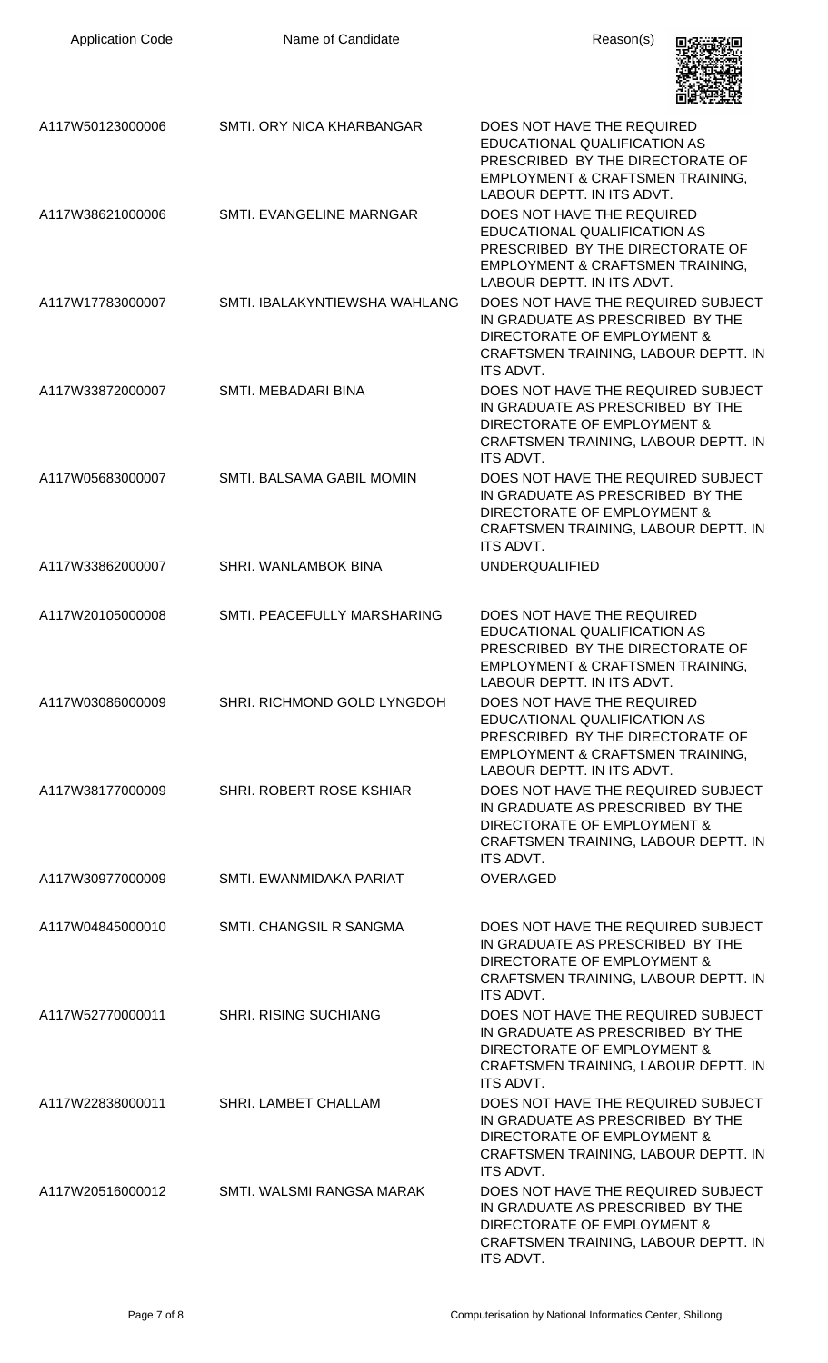| <b>Application Code</b> | Name of Candidate             | Reason(s)                                                                                                                                                         |
|-------------------------|-------------------------------|-------------------------------------------------------------------------------------------------------------------------------------------------------------------|
| A117W50123000006        | SMTI. ORY NICA KHARBANGAR     | DOES NOT HAVE THE REQUIRED<br>EDUCATIONAL QUALIFICATION AS<br>PRESCRIBED BY THE DIRECTORATE OF<br>EMPLOYMENT & CRAFTSMEN TRAINING,<br>LABOUR DEPTT. IN ITS ADVT.  |
| A117W38621000006        | SMTI. EVANGELINE MARNGAR      | DOES NOT HAVE THE REQUIRED<br>EDUCATIONAL QUALIFICATION AS<br>PRESCRIBED BY THE DIRECTORATE OF<br>EMPLOYMENT & CRAFTSMEN TRAINING,<br>LABOUR DEPTT. IN ITS ADVT.  |
| A117W17783000007        | SMTI. IBALAKYNTIEWSHA WAHLANG | DOES NOT HAVE THE REQUIRED SUBJECT<br>IN GRADUATE AS PRESCRIBED BY THE<br>DIRECTORATE OF EMPLOYMENT &<br>CRAFTSMEN TRAINING, LABOUR DEPTT. IN<br><b>ITS ADVT.</b> |
| A117W33872000007        | SMTI. MEBADARI BINA           | DOES NOT HAVE THE REQUIRED SUBJECT<br>IN GRADUATE AS PRESCRIBED BY THE<br>DIRECTORATE OF EMPLOYMENT &<br>CRAFTSMEN TRAINING, LABOUR DEPTT. IN<br><b>ITS ADVT.</b> |
| A117W05683000007        | SMTI. BALSAMA GABIL MOMIN     | DOES NOT HAVE THE REQUIRED SUBJECT<br>IN GRADUATE AS PRESCRIBED BY THE<br>DIRECTORATE OF EMPLOYMENT &<br>CRAFTSMEN TRAINING, LABOUR DEPTT. IN<br>ITS ADVT.        |
| A117W33862000007        | SHRI. WANLAMBOK BINA          | <b>UNDERQUALIFIED</b>                                                                                                                                             |
| A117W20105000008        | SMTI. PEACEFULLY MARSHARING   | DOES NOT HAVE THE REQUIRED<br>EDUCATIONAL QUALIFICATION AS<br>PRESCRIBED BY THE DIRECTORATE OF<br>EMPLOYMENT & CRAFTSMEN TRAINING,<br>LABOUR DEPTT. IN ITS ADVT.  |
| A117W03086000009        | SHRI. RICHMOND GOLD LYNGDOH   | DOES NOT HAVE THE REQUIRED<br>EDUCATIONAL QUALIFICATION AS<br>PRESCRIBED BY THE DIRECTORATE OF<br>EMPLOYMENT & CRAFTSMEN TRAINING,<br>LABOUR DEPTT. IN ITS ADVT.  |
| A117W38177000009        | SHRI, ROBERT ROSE KSHIAR      | DOES NOT HAVE THE REQUIRED SUBJECT<br>IN GRADUATE AS PRESCRIBED BY THE<br>DIRECTORATE OF EMPLOYMENT &<br>CRAFTSMEN TRAINING, LABOUR DEPTT. IN<br>ITS ADVT.        |
| A117W30977000009        | SMTI. EWANMIDAKA PARIAT       | <b>OVERAGED</b>                                                                                                                                                   |
| A117W04845000010        | SMTI. CHANGSIL R SANGMA       | DOES NOT HAVE THE REQUIRED SUBJECT<br>IN GRADUATE AS PRESCRIBED BY THE<br>DIRECTORATE OF EMPLOYMENT &<br>CRAFTSMEN TRAINING, LABOUR DEPTT. IN<br><b>ITS ADVT.</b> |
| A117W52770000011        | <b>SHRI. RISING SUCHIANG</b>  | DOES NOT HAVE THE REQUIRED SUBJECT<br>IN GRADUATE AS PRESCRIBED BY THE<br>DIRECTORATE OF EMPLOYMENT &<br>CRAFTSMEN TRAINING, LABOUR DEPTT. IN<br><b>ITS ADVT.</b> |
| A117W22838000011        | SHRI. LAMBET CHALLAM          | DOES NOT HAVE THE REQUIRED SUBJECT<br>IN GRADUATE AS PRESCRIBED BY THE<br>DIRECTORATE OF EMPLOYMENT &<br>CRAFTSMEN TRAINING, LABOUR DEPTT. IN<br>ITS ADVT.        |
| A117W20516000012        | SMTI. WALSMI RANGSA MARAK     | DOES NOT HAVE THE REQUIRED SUBJECT<br>IN GRADUATE AS PRESCRIBED BY THE<br>DIRECTORATE OF EMPLOYMENT &<br>CRAFTSMEN TRAINING, LABOUR DEPTT. IN<br>ITS ADVT.        |